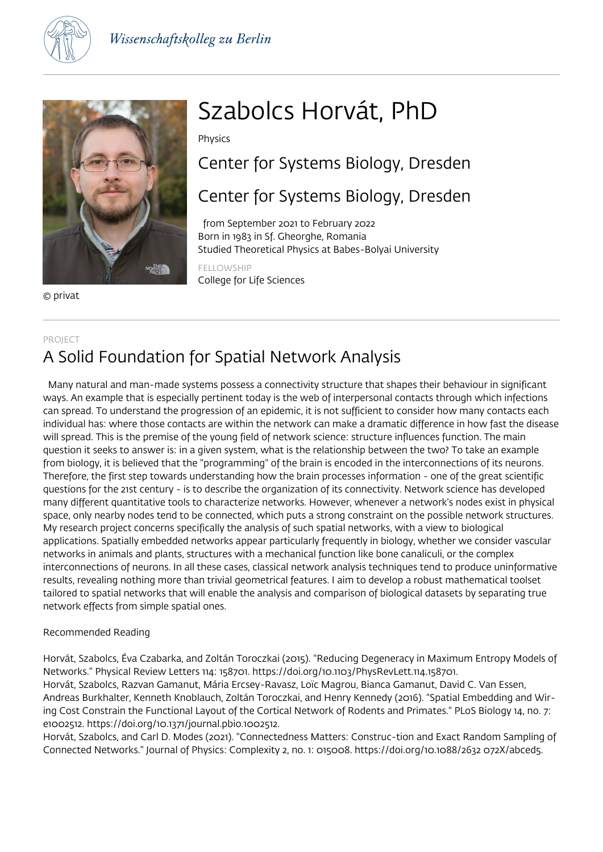



© privat

# Szabolcs Horvát, PhD

Physics

Center for Systems Biology, Dresden

# Center for Systems Biology, Dresden

 from September 2021 to February 2022 Born in 1983 in Sf. Gheorghe, Romania Studied Theoretical Physics at Babes-Bolyai University

FELLOWSHIP College for Life Sciences

### PROJECT

# A Solid Foundation for Spatial Network Analysis

 Many natural and man-made systems possess a connectivity structure that shapes their behaviour in significant ways. An example that is especially pertinent today is the web of interpersonal contacts through which infections can spread. To understand the progression of an epidemic, it is not sufficient to consider how many contacts each individual has: where those contacts are within the network can make a dramatic difference in how fast the disease will spread. This is the premise of the young field of network science: structure influences function. The main question it seeks to answer is: in a given system, what is the relationship between the two? To take an example from biology, it is believed that the "programming" of the brain is encoded in the interconnections of its neurons. Therefore, the first step towards understanding how the brain processes information - one of the great scientific questions for the 21st century - is to describe the organization of its connectivity. Network science has developed many different quantitative tools to characterize networks. However, whenever a network's nodes exist in physical space, only nearby nodes tend to be connected, which puts a strong constraint on the possible network structures. My research project concerns specifically the analysis of such spatial networks, with a view to biological applications. Spatially embedded networks appear particularly frequently in biology, whether we consider vascular networks in animals and plants, structures with a mechanical function like bone canaliculi, or the complex interconnections of neurons. In all these cases, classical network analysis techniques tend to produce uninformative results, revealing nothing more than trivial geometrical features. I aim to develop a robust mathematical toolset tailored to spatial networks that will enable the analysis and comparison of biological datasets by separating true network effects from simple spatial ones.

### Recommended Reading

Horvát, Szabolcs, Éva Czabarka, and Zoltán Toroczkai (2015). "Reducing Degeneracy in Maximum Entropy Models of Networks." Physical Review Letters 114: 158701. https://doi.org/10.1103/PhysRevLett.114.158701. Horvát, Szabolcs, Razvan Gamanut, Mária Ercsey-Ravasz, Loïc Magrou, Bianca Gamanut, David C. Van Essen, Andreas Burkhalter, Kenneth Knoblauch, Zoltán Toroczkai, and Henry Kennedy (2016). "Spatial Embedding and Wiring Cost Constrain the Functional Layout of the Cortical Network of Rodents and Primates." PLoS Biology 14, no. 7: e1002512. https://doi.org/10.1371/journal.pbio.1002512.

Horvát, Szabolcs, and Carl D. Modes (2021). "Connectedness Matters: Construc-tion and Exact Random Sampling of Connected Networks." Journal of Physics: Complexity 2, no. 1: 015008. https://doi.org/10.1088/2632 072X/abced5.